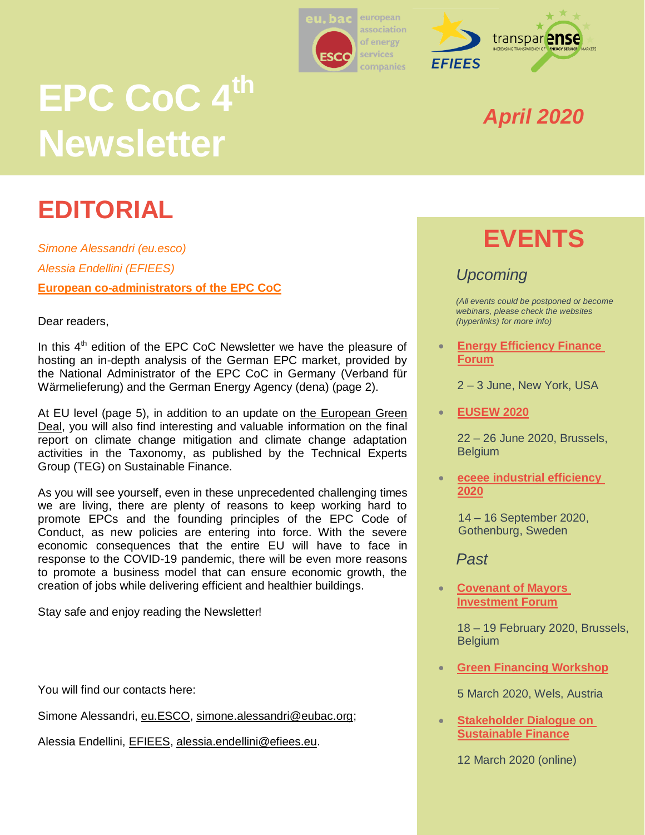



# **EPC CoC 4 th Newsletter**

# **EDITORIAL**

*Simone Alessandri (eu.esco) Alessia Endellini (EFIEES)* **European co-administrators of the EPC CoC**

Dear readers,

In this  $4<sup>th</sup>$  edition of the EPC CoC Newsletter we have the pleasure of hosting an in-depth analysis of the German EPC market, provided by the National Administrator of the EPC CoC in Germany (Verband für Wärmelieferung) and the German Energy Agency (dena) (page 2).

At EU level (page 5), in addition to an update on [the European Green](https://ec.europa.eu/info/strategy/priorities-2019-2024/european-green-deal_en)  [Deal,](https://ec.europa.eu/info/strategy/priorities-2019-2024/european-green-deal_en) you will also find interesting and valuable information on the final report on climate change mitigation and climate change adaptation activities in the Taxonomy, as published by the Technical Experts Group (TEG) on Sustainable Finance.

As you will see yourself, even in these unprecedented challenging times we are living, there are plenty of reasons to keep working hard to promote EPCs and the founding principles of the EPC Code of Conduct, as new policies are entering into force. With the severe economic consequences that the entire EU will have to face in response to the COVID-19 pandemic, there will be even more reasons to promote a business model that can ensure economic growth, the creation of jobs while delivering efficient and healthier buildings.

Stay safe and enjoy reading the Newsletter!

You will find our contacts here:

Simone Alessandri, [eu.ESCO,](https://euesco.org/home/home.html) [simone.alessandri@eubac.org;](mailto:simone.alessandri@eubac.org)

Alessia Endellini, [EFIEES,](http://www.efiees.eu/) [alessia.endellini@efiees.eu.](mailto:alessia.endellini@efiees.eu)

### *April 2020*

# **EVENTS**

#### *Upcoming*

*(All events could be postponed or become webinars, please check the websites (hyperlinks) for more info)*

 **[Energy Efficiency Finance](https://www.aceee.org/2020-energy-efficiency-finance-forum)  [Forum](https://www.aceee.org/2020-energy-efficiency-finance-forum)**

2 – 3 June, New York, USA

**[EUSEW 2020](https://eusew.eu/)**

22 – 26 June 2020, Brussels, **Belgium** 

 **[eceee industrial efficiency](https://www.eceee.org/industry/)  [2020](https://www.eceee.org/industry/)**

> 14 – 16 September 2020, Gothenburg, Sweden

*Past*

 **[Covenant of Mayors](https://ec.europa.eu/easme/en/news/celebrating-succesful-edition-covenant-mayors-investment-forum-energy-efficiency-finance-market)  [Investment Forum](https://ec.europa.eu/easme/en/news/celebrating-succesful-edition-covenant-mayors-investment-forum-energy-efficiency-finance-market)**

> 18 – 19 February 2020, Brussels, **Belgium**

**[Green Financing Workshop](https://www.wsed.at/en/programme/european-energy-efficiency-conference.html#c25578)**

5 March 2020, Wels, Austria

 **[Stakeholder Dialogue on](https://webcast.ec.europa.eu/stakeholder-dialogue-on-sustainable-finance-12-03-20)  [Sustainable Finance](https://webcast.ec.europa.eu/stakeholder-dialogue-on-sustainable-finance-12-03-20)**

12 March 2020 (online)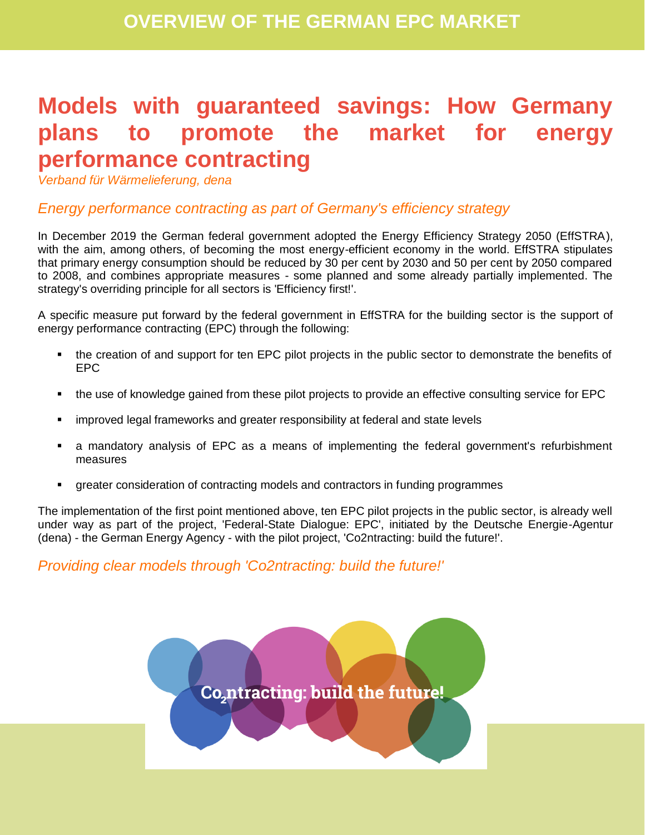## **Models with guaranteed savings: How Germany plans to promote the market for energy performance contracting**

*Verband für Wärmelieferung, dena*

#### *Energy performance contracting as part of Germany's efficiency strategy*

In December 2019 the German federal government adopted the Energy Efficiency Strategy 2050 (EffSTRA), with the aim, among others, of becoming the most energy-efficient economy in the world. EffSTRA stipulates that primary energy consumption should be reduced by 30 per cent by 2030 and 50 per cent by 2050 compared to 2008, and combines appropriate measures - some planned and some already partially implemented. The strategy's overriding principle for all sectors is 'Efficiency first!'.

A specific measure put forward by the federal government in EffSTRA for the building sector is the support of energy performance contracting (EPC) through the following:

- the creation of and support for ten EPC pilot projects in the public sector to demonstrate the benefits of EPC
- the use of knowledge gained from these pilot projects to provide an effective consulting service for EPC
- improved legal frameworks and greater responsibility at federal and state levels
- a mandatory analysis of EPC as a means of implementing the federal government's refurbishment measures
- greater consideration of contracting models and contractors in funding programmes

The implementation of the first point mentioned above, ten EPC pilot projects in the public sector, is already well under way as part of the project, 'Federal-State Dialogue: EPC', initiated by the Deutsche Energie-Agentur (dena) - the German Energy Agency - with the pilot project, 'Co2ntracting: build the future!'.

#### *Providing clear models through 'Co2ntracting: build the future!'*

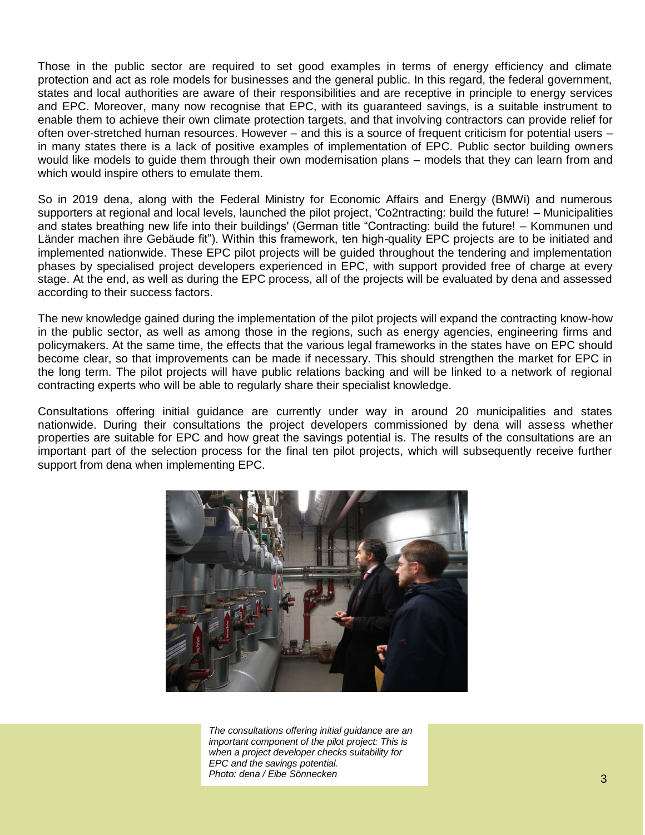Those in the public sector are required to set good examples in terms of energy efficiency and climate protection and act as role models for businesses and the general public. In this regard, the federal government, states and local authorities are aware of their responsibilities and are receptive in principle to energy services and EPC. Moreover, many now recognise that EPC, with its guaranteed savings, is a suitable instrument to enable them to achieve their own climate protection targets, and that involving contractors can provide relief for often over-stretched human resources. However – and this is a source of frequent criticism for potential users – in many states there is a lack of positive examples of implementation of EPC. Public sector building owners would like models to guide them through their own modernisation plans – models that they can learn from and which would inspire others to emulate them.

So in 2019 dena, along with the Federal Ministry for Economic Affairs and Energy (BMWi) and numerous supporters at regional and local levels, launched the pilot project, 'Co2ntracting: build the future! – Municipalities and states breathing new life into their buildings' (German title "Contracting: build the future! – Kommunen und Länder machen ihre Gebäude fit"). Within this framework, ten high-quality EPC projects are to be initiated and implemented nationwide. These EPC pilot projects will be guided throughout the tendering and implementation phases by specialised project developers experienced in EPC, with support provided free of charge at every stage. At the end, as well as during the EPC process, all of the projects will be evaluated by dena and assessed according to their success factors.

The new knowledge gained during the implementation of the pilot projects will expand the contracting know-how in the public sector, as well as among those in the regions, such as energy agencies, engineering firms and policymakers. At the same time, the effects that the various legal frameworks in the states have on EPC should become clear, so that improvements can be made if necessary. This should strengthen the market for EPC in the long term. The pilot projects will have public relations backing and will be linked to a network of regional contracting experts who will be able to regularly share their specialist knowledge.

Consultations offering initial guidance are currently under way in around 20 municipalities and states nationwide. During their consultations the project developers commissioned by dena will assess whether properties are suitable for EPC and how great the savings potential is. The results of the consultations are an important part of the selection process for the final ten pilot projects, which will subsequently receive further support from dena when implementing EPC.



*The consultations offering initial guidance are an important component of the pilot project: This is when a project developer checks suitability for EPC and the savings potential. Photo: dena / Eibe Sönnecken*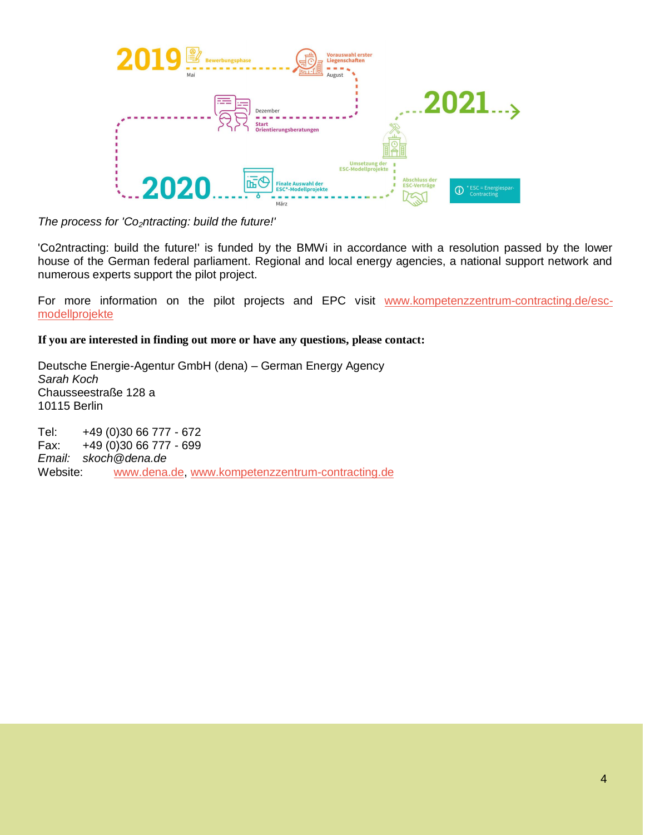

*The process for 'Co2ntracting: build the future!'*

'Co2ntracting: build the future!' is funded by the BMWi in accordance with a resolution passed by the lower house of the German federal parliament. Regional and local energy agencies, a national support network and numerous experts support the pilot project.

For more information on the pilot projects and EPC visit [www.kompetenzzentrum-contracting.de/esc](http://www.kompetenzzentrum-contracting.de/esc-modellprojekte)[modellprojekte](http://www.kompetenzzentrum-contracting.de/esc-modellprojekte)

**If you are interested in finding out more or have any questions, please contact:**

Deutsche Energie-Agentur GmbH (dena) – German Energy Agency *Sarah Koch* Chausseestraße 128 a 10115 Berlin

Tel: +49 (0)30 66 777 - 672 Fax: +49 (0)30 66 777 - 699 *Email: skoch@dena.de* Website: [www.dena.de,](http://www.dena.de/) [www.kompetenzzentrum-contracting.de](http://www.kompetenzzentrum-contracting.de/)